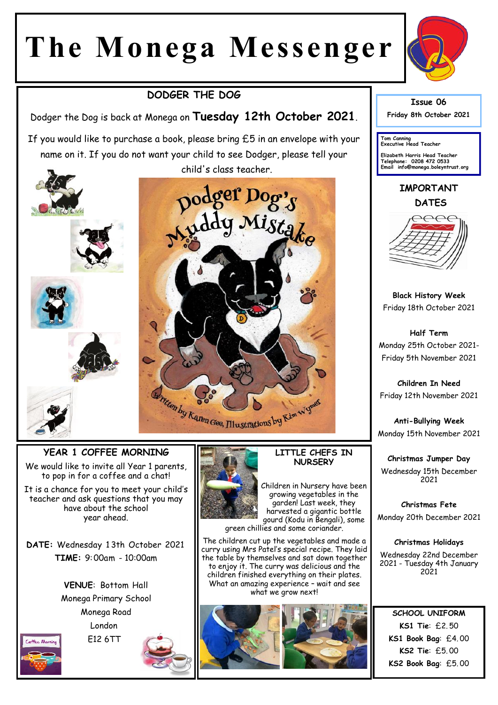# **The Monega Messenger**

## **DODGER THE DOG**

Dodger the Dog is back at Monega on **Tuesday 12th October 2021**.

If you would like to purchase a book, please bring £5 in an envelope with your name on it. If you do not want your child to see Dodger, please tell your child's class teacher.









#### **YEAR 1 COFFEE MORNING**

We would like to invite all Year 1 parents, to pop in for a coffee and a chat!

It is a chance for you to meet your child's teacher and ask questions that you may have about the school year ahead.

**DATE:** Wednesday 1 3th October 2021 **TIME:** 9:00am - 10:00am

> **VENUE**: Bottom Hall Monega Primary School Monega Road London E12 6TT

Coffee Morning





Children in Nursery have been growing vegetables in the garden! Last week, they harvested a gigantic bottle gourd (Kodu in Bengali), some green chillies and some coriander.

The children cut up the vegetables and made a curry using Mrs Patel's special recipe. They laid the table by themselves and sat down together to enjoy it. The curry was delicious and the children finished everything on their plates. What an amazing experience – wait and see what we grow next!





**Issue 06 Friday 8th October 2021** 

**Tom Canning Executive Head Teacher**

**Elizabeth Harris Head Teacher Telephone: 0208 472 0533 Email info@monega.boleyntrust.org** 

**IMPORTANT DATES**



**Black History Week** Friday 18th October 2021

**Half Term** Monday 25th October 2021- Friday 5th November 2021

**Children In Need** Friday 12th November 2021

**Anti-Bullying Week** Monday 15th November 2021

**Christmas Jumper Day** Wednesday 15th December 2021

**Christmas Fete** Monday 20th December 2021

**Christmas Holidays**

Wednesday 22nd December 2021 - Tuesday 4th January 2021

**SCHOOL UNIFORM KS1 Tie**: £2. 50 **KS1 Book Bag**: £4. 00 **KS2 Tie**: £5. 00 **KS2 Book Bag**: £5. 00